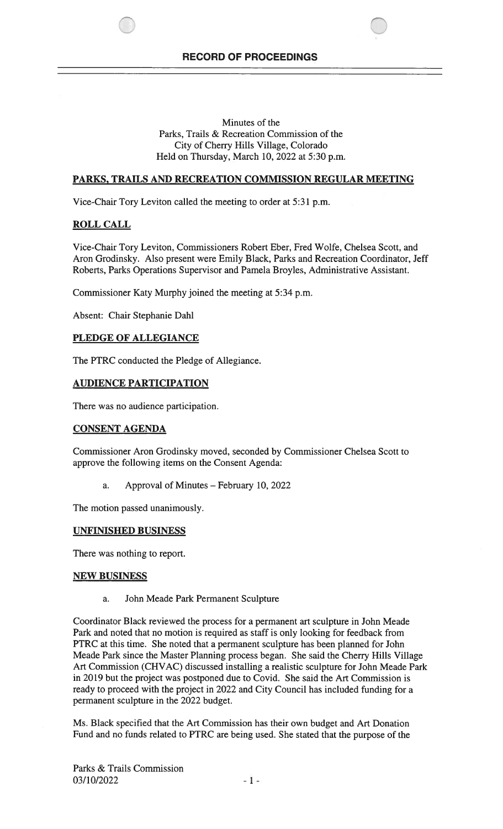$\bigcirc$ 

Minutes of the Parks, Trails & Recreation Commission of the City of Cherry Hills Village, Colorado Held on Thursday, March 10, 2022 at 5:30 p.m.

## PARKS, TRAILS AND RECREATION COMMISSION REGULAR MEETING

Vice-Chair Tory Leviton called the meeting to order at 5:31 p.m.

## ROLL CALL

Vice-Chair Tory Leviton, Commissioners Robert Eber, Fred Wolfe, Chelsea Scott, and Aron Grodinsky. Also present were Emily Black, Parks and Recreation Coordinator, Jeff Roberts, Parks Operations Supervisor and Pamela Broyles, Administrative Assistant.

Commissioner Katy Murphy joined the meeting at 5:34 p.m.

Absent: Chair Stephanie DahI

## PLEDGE OF ALLEGIANCE

The PTRC conducted the Pledge of Allegiance.

## AUDIENCE PARTICIPATION

There was no audience participation.

## CONSENT AGENDA

Commissioner Aron Grodinsky moved, seconded by Commissioner Chelsea Scott to approve the following items on the Consent Agenda:

a. Approval of Minutes — February 10, 2022

The motion passed unanimously.

### UNFINISHED BUSINESS

There was nothing to report.

### NEW BUSINESS

a. John Meade Park Permanent Sculpture

Coordinator Black reviewed the process for a permanent art sculpture in John Meade Park and noted that no motion is required as staff is only looking for feedback from PTRC at this time. She noted that a permanent sculpture has been planned for John Meade Park since the Master Planning process began. She said the Cherry Hills Village Art Commission (CHVAC) discussed installing a realistic sculpture for John Meade Park in 2019 but the project was postponed due to Covid. She said the Art Commission is ready to proceed with the project in 2022 and City Council has included funding for a permanent sculpture in the 2022 budget.

Ms. Black specified that the Art Commission has their own budget and Art Donation Fund and no funds related to PTRC are being used. She stated that the purpose of the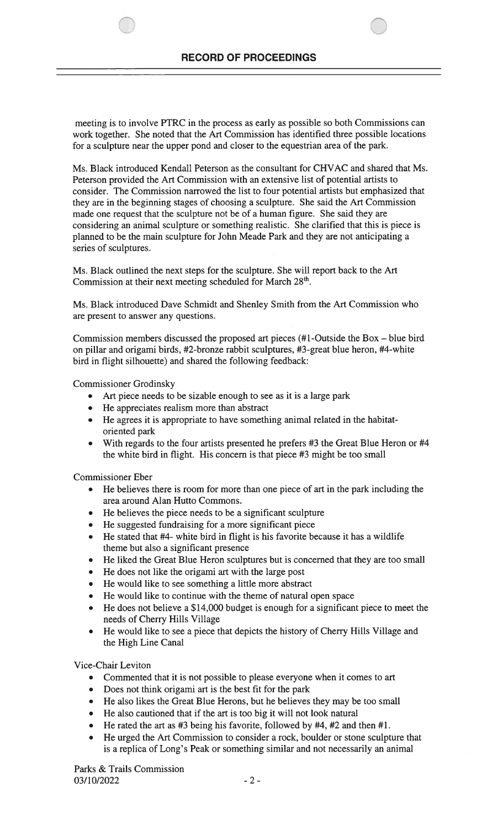meeting is to involve PTRC in the process as early as possible so both Commissions can work together. She noted that the Art Commission has identified three possible locations for a sculpture near the upper pond and closer to the equestrian area of the park.

Ms. Black introduced Kendall Peterson as the consultant for CHVAC and shared that Ms. Peterson provided the Art Commission with an extensive list of potential artists to consider. The Commission narrowed the list to four potential artists but emphasized that they are in the beginning stages of choosing a sculpture. She said the Art Commission made one request that the sculpture not be of a human figure. She said they are considering an animal sculpture or something realistic. She clarified that this is piece is planned to be the main sculpture for John Meade Park and they are not anticipating a series of sculptures.

Ms. Black outlined the next steps for the sculpture. She will report back to the Art Commission at their next meeting scheduled for March 28<sup>th</sup>.

Ms. Black introduced Dave Schmidt and Shenley Smith from the Art Commission who are present to answer any questions.

Commission members discussed the proposed art pieces (#1-Outside the Box — blue bird on pillar and origami birds, #2-bronze rabbit sculptures, #3-great blue heron, #4-white bird in flight silhouette) and shared the following feedback:

Commissioner Grodinsky

- Art piece needs to be sizable enough to see as it is a large park
- He appreciates realism more than abstract
- He agrees it is appropriate to have something animal related in the habitatoriented park
- With regards to the four artists presented he prefers #3 the Great Blue Heron or #4 the white bird in flight. His concern is that piece #3 might be too small

Commissioner Eber

- He believes there is room for more than one piece of art in the park including the area around Alan Hutto Commons.
- He believes the piece needs to be a significant sculpture
- He suggested fundraising for a more significant piece
- He stated that #4- white bird in flight is his favorite because it has a wildlife theme but also a significant presence
- He liked the Great Blue Heron sculptures but is concerned that they are too small
- He does not like the origami art with the large post
- He would like to see something a little more abstract
- He would like to continue with the theme of natural open space
- He does not believe a \$14,000 budget is enough for a significant piece to meet the needs of Cherry Hills Village
- He would like to see a piece that depicts the history of Cherry Hills Village and the High Line Canal

Vice-Chair Leviton

- Commented that it is not possible to please everyone when it comes to art
- Does not think origami art is the best fit for the park
- He also likes the Great Blue Herons, but he believes they may be too small
- He also cautioned that if the art is too big it will not look natural
- He rated the art as #3 being his favorite, followed by #4, #2 and then #1.
- He urged the Art Commission to consider a rock, boulder or stone sculpture that is a replica of Long's Peak or something similar and not necessarily an animal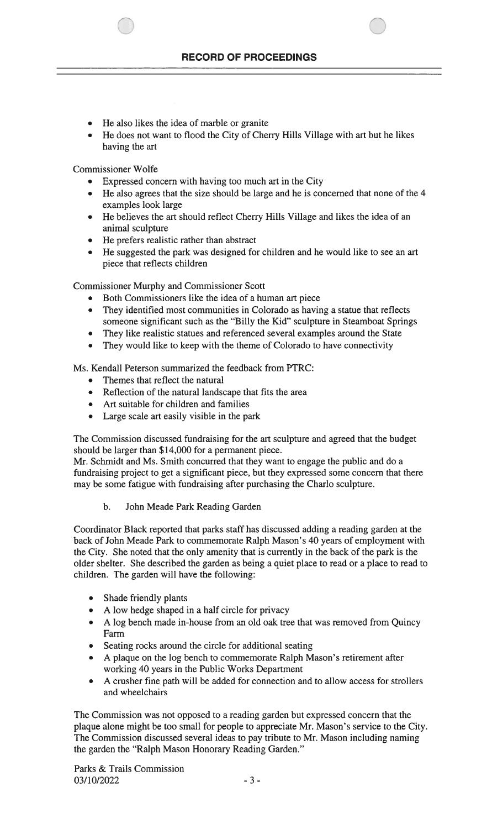- He also likes the idea of marble or granite
- He does not want to flood the City of Cherry Hills Village with art but he likes having the art

Commissioner Wolfe

- Expressed concern with having too much art in the City
- He also agrees that the size should be large and he is concerned that none of the 4 examples look large
- He believes the art should reflect Cherry Hills Village and likes the idea of an animal sculpture
- He prefers realistic rather than abstract
- He suggested the park was designed for children and he would like to see an art piece that reflects children

Commissioner Murphy and Commissioner Scott

- Both Commissioners like the idea of a human art piece
- They identified most communities in Colorado as having a statue that reflects someone significant such as the "Billy the Kid" sculpture in Steamboat Springs
- They like realistic statues and referenced several examples around the State
- They would like to keep with the theme of Colorado to have connectivity

Ms. Kendall Peterson summarized the feedback from PTRC:

- Themes that reflect the natural
- Reflection of the natural landscape that fits the area
- Art suitable for children and families
- Large scale art easily visible in the park

The Commission discussed fundraising for the art sculpture and agreed that the budget should be larger than \$14,000 for a permanent piece.

Mr. Schmidt and Ms. Smith concurred that they want to engage the public and do a fundraising project to get a significant piece, but they expressed some concern that there may be some fatigue with fundraising after purchasing the Charlo sculpture.

## b. John Meade Park Reading Garden

Coordinator Black reported that parks staff has discussed adding a reading garden at the back of John Meade Park to commemorate Ralph Mason's 40 years of employment with the City. She noted that the only amenity that is currently in the back of the park is the older shelter. She described the garden as being a quiet place to read or a place to read to children. The garden will have the following:

- Shade friendly plants
- A low hedge shaped in a half circle for privacy
- A log bench made in-house from an old oak tree that was removed from Quincy Farm
- Seating rocks around the circle for additional seating
- A plaque on the log bench to commemorate Ralph Mason's retirement after working 40 years in the Public Works Department
- A crusher fine path will be added for connection and to allow access for strollers and wheelchairs

The Commission was not opposed to a reading garden but expressed concern that the plaque alone might be too small for people to appreciate Mr. Mason's service to the City. The Commission discussed several ideas to pay tribute to Mr. Mason including naming the garden the "Ralph Mason Honorary Reading Garden."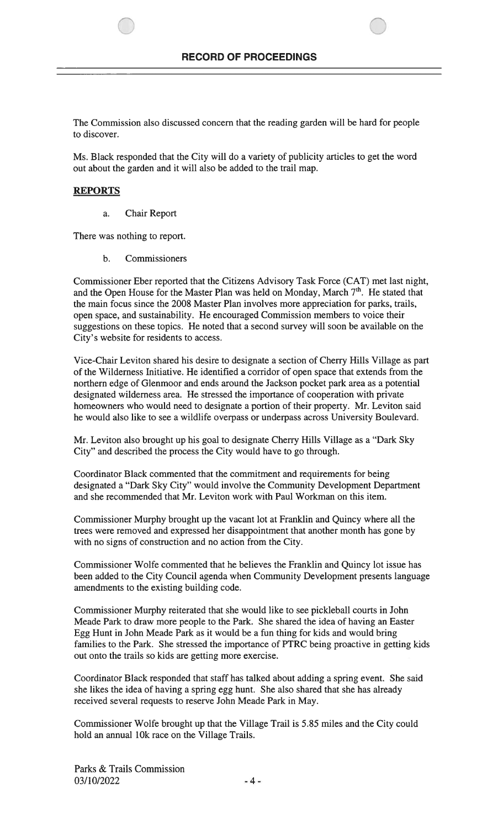The Commission also discussed concern that the reading garden will be hard for people to discover.

Ms. Black responded that the City will do a variety of publicity articles to get the word out about the garden and it will also be added to the trail map.

# REPORTS

a. Chair Report

There was nothing to report.

b. Commissioners

Commissioner Eber reported that the Citizens Advisory Task Force (CAT) met last night, and the Open House for the Master Plan was held on Monday, March  $7<sup>th</sup>$ . He stated that the main focus since the 2008 Master Plan involves more appreciation for parks, trails, open space, and sustainability. He encouraged Commission members to voice their suggestions on these topics. He noted that a second survey will soon be available on the City's website for residents to access.

Vice-Chair Leviton shared his desire to designate a section of Cherry Hills Village as part of the Wilderness Initiative. He identified a corridor of open space that extends from the northern edge of Glenmoor and ends around the Jackson pocket park area as a potential designated wilderness area. He stressed the importance of cooperation with private homeowners who would need to designate a portion of their property. Mr. Leviton said he would also like to see a wildlife overpass or underpass across University Boulevard.

Mr. Leviton also brought up his goal to designate Cherry Hills Village as a "Dark Sky City" and described the process the City would have to go through.

Coordinator Black commented that the commitment and requirements for being designated a "Dark Sky City" would involve the Community Development Department and she recommended that Mr. Leviton work with Paul Workman on this item.

Commissioner Murphy brought up the vacant lot at Franklin and Quincy where all the trees were removed and expressed her disappointment that another month has gone by with no signs of construction and no action from the City.

Commissioner Wolfe commented that he believes the Franklin and Quincy lot issue has been added to the City Council agenda when Community Development presents language amendments to the existing building code.

Commissioner Murphy reiterated that she would like to see pickleball courts in John Meade Park to draw more people to the Park. She shared the idea of having an Easter Egg Hunt in John Meade Park as it would be a fun thing for kids and would bring families to the Park. She stressed the importance of PTRC being proactive in getting kids out onto the trails so kids are getting more exercise.

Coordinator Black responded that staff has talked about adding a spring event. She said she likes the idea of having a spring egg hunt. She also shared that she has already received several requests to reserve John Meade Park in May.

Commissioner Wolfe brought up that the Village Trail is 5.85 miles and the City could hold an annual 10k race on the Village Trails.